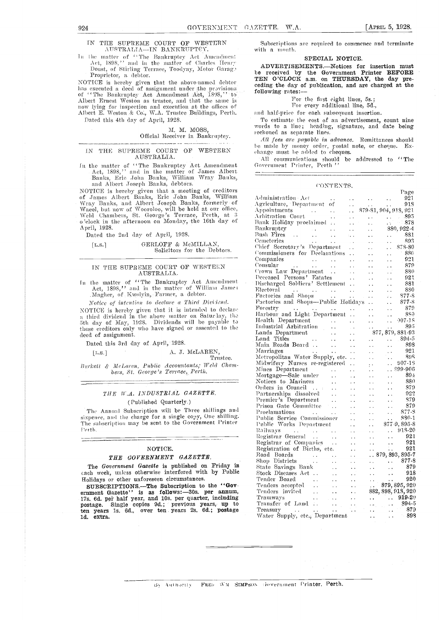Page

#### IN THE SUPREME COURT OF WESTERN Subscriptions AUSTRALIA—IN BANKRUPTCY. with a month. AUSTRALIA-IN BANKRUPTCY.

In the matter of "The Bankruptcy Act Amendment Act, 1898,'' and in the matter of Charles Henry.<br>Doust, of Stirling Terrace, Toodyay, Motor Garag., Proprietor, a debtor.

NOTICE is hereby given that the above-named debtor has executed a deed of assignment under the provisions of "The Bankruptcy Act Amendment Act, 1398," to Albert Ernest Weston as trustee, and that the same is now lying for inspection and execution at the offices of Albert E. Weston & Co:, W.A. Trustee Buildings, Perth.

Dated this 4th day of April, 1928.

#### M. M. MOSS, Official Receiver in Bankruptcy.

#### IN THE SUPREME COURT OF WESTERN AUSTRALIA.

In the matter of "The Bankruptcy Act Amendment Act, 1898," and in the matter of James Albert Banks, Eric John Banks, William Wray Banks, and Albert Joseph Banks, debtors.

NOTICE is hereby given that a meeting of creditors of James Albert Banks, Eric John Banks, William Wray Banks, and Albert Joseph Banks, formerly of Waeel, but now of Wooroloo, will be held at our office, Weld Chambers, St. George's Terrace, Perth, at 3<br>o'clock in the afternoon on Monday, the 16th day of April, 1928.

Dated the 2nd day of April, 1928.

#### [L.S.] GERLOFF & McMILLAN, Solicitors for the Debtors.

#### IN THE SUPREME COURT OF WESTERN AUSTRALIA.

In the matter of "The Bankruptcy Act Amendment. Act, 1898," and in the matter of William James ,-Alagher, of Kwolyin, Fanner, a debtor.

Notice of intention to declare a Third Dividend. NOTICE is hereby given that it is intended to declare a third dividend in the above matter on Saturday, the last the the studies of May, 1928. Dividends will be payable to lead those creditors only who have signed or assented to the deed of assignment.

Dated this 3rd day of April, 1928.

 $[L.S.]$ 

#### A. J. McLAREN,

Trustee.

Burkett & McLaren, Public Accountants; Weld Chambers, St. George's Terrace, Perth.

#### THE W.A. INDUSTRIAL GAZETTE. ( Published Quarterly.)

The Annual Subscription will be Three shillings and sixpence, and the charge for a single copy, One shilling. The subscription may be sent to the Government Printer Perth.

#### NOTICE.

#### THE GOVERNMENT GAZETTE.

 $\overline{\phantom{a}}$ 

The Government Gazette is published on Friday in cach week, unless otherwise interfered with by Public Holidays or other unforeseen circumstances.

SUBSCRIPTIONS. The Subscription to the "Government Gazette" is as follows:-30s. per annum, 17s. 6d. per half year, and 10s. per quarter, including postage. Single copies 9d.; previous years, up to Transf ten years 1s. 6d., over ten years 2s. 6d.; postage Trea Id. extra.

Subscriptions are required to commence and terminate

#### SPECIAL NOTICE.

ADVERTISEMENTS.--Notices for insertion must be received by the Government Printer BEFORE<br>TEN O'CLOCK a.m. on THURSDAY, the day preceding the day of publication, and are charged at the following rates:

For the first eight lines, 5s.; For every additional line, 5d.,

and half-price for each subsequent insertion.<br>To estimate the cost of an advertisement, count nine

words to a line; heading, signature, and date being reckoned as separate lines.

All fees arc payable in advance. Remittances should be made by money order, rostal note, or cheque. Exhange must be added to cheques.

All communications should be addressed to "The Government Printer, Perth "

#### CONTENTS.

| $\begin{tabular}{c c c} A chiniarification. Let \\ \hline A erivointers. & \mbox{Depointments} & \mbox{3D8}, 904, 918, 937\\ \hline Aarivelliptic & \mbox{Couri} & \mbox{875-81}, 904, 918, 981\\ \hline Rach Pibidarg product \\ \hline Aerbiletterder, \\ \hline Aerbileters & \mbox{880}, 922-4\\ \hline Cenerteries & \mbox{880}, 928-4\\ \hline Cenerteries & \mbox{880}, 928-4\\ \hline Cenerteries & \mbox{880}, 928$ |  |
|------------------------------------------------------------------------------------------------------------------------------------------------------------------------------------------------------------------------------------------------------------------------------------------------------------------------------------------------------------------------------------------------------------------------------|--|
|                                                                                                                                                                                                                                                                                                                                                                                                                              |  |
|                                                                                                                                                                                                                                                                                                                                                                                                                              |  |
|                                                                                                                                                                                                                                                                                                                                                                                                                              |  |
|                                                                                                                                                                                                                                                                                                                                                                                                                              |  |
|                                                                                                                                                                                                                                                                                                                                                                                                                              |  |
|                                                                                                                                                                                                                                                                                                                                                                                                                              |  |
|                                                                                                                                                                                                                                                                                                                                                                                                                              |  |
|                                                                                                                                                                                                                                                                                                                                                                                                                              |  |
|                                                                                                                                                                                                                                                                                                                                                                                                                              |  |
|                                                                                                                                                                                                                                                                                                                                                                                                                              |  |
|                                                                                                                                                                                                                                                                                                                                                                                                                              |  |
|                                                                                                                                                                                                                                                                                                                                                                                                                              |  |
|                                                                                                                                                                                                                                                                                                                                                                                                                              |  |
|                                                                                                                                                                                                                                                                                                                                                                                                                              |  |
|                                                                                                                                                                                                                                                                                                                                                                                                                              |  |
|                                                                                                                                                                                                                                                                                                                                                                                                                              |  |
|                                                                                                                                                                                                                                                                                                                                                                                                                              |  |
|                                                                                                                                                                                                                                                                                                                                                                                                                              |  |
|                                                                                                                                                                                                                                                                                                                                                                                                                              |  |
|                                                                                                                                                                                                                                                                                                                                                                                                                              |  |
|                                                                                                                                                                                                                                                                                                                                                                                                                              |  |
|                                                                                                                                                                                                                                                                                                                                                                                                                              |  |
|                                                                                                                                                                                                                                                                                                                                                                                                                              |  |
|                                                                                                                                                                                                                                                                                                                                                                                                                              |  |
|                                                                                                                                                                                                                                                                                                                                                                                                                              |  |
|                                                                                                                                                                                                                                                                                                                                                                                                                              |  |
|                                                                                                                                                                                                                                                                                                                                                                                                                              |  |
|                                                                                                                                                                                                                                                                                                                                                                                                                              |  |
|                                                                                                                                                                                                                                                                                                                                                                                                                              |  |
|                                                                                                                                                                                                                                                                                                                                                                                                                              |  |
|                                                                                                                                                                                                                                                                                                                                                                                                                              |  |
|                                                                                                                                                                                                                                                                                                                                                                                                                              |  |
|                                                                                                                                                                                                                                                                                                                                                                                                                              |  |
|                                                                                                                                                                                                                                                                                                                                                                                                                              |  |
|                                                                                                                                                                                                                                                                                                                                                                                                                              |  |
|                                                                                                                                                                                                                                                                                                                                                                                                                              |  |
|                                                                                                                                                                                                                                                                                                                                                                                                                              |  |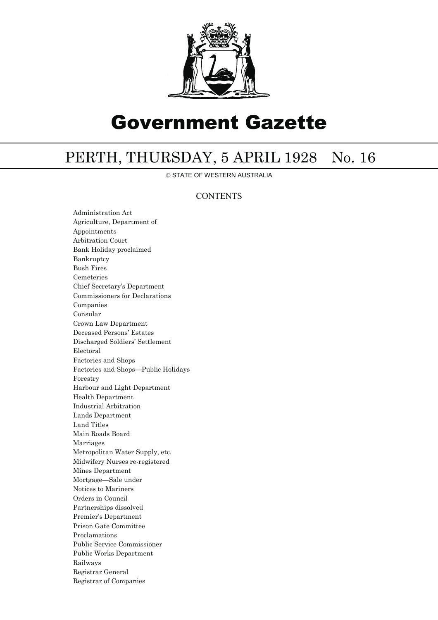

# Government Gazette

## PERTH, THURSDAY, 5 APRIL 1928 No. 16

© STATE OF WESTERN AUSTRALIA

### **CONTENTS**

Administration Act Agriculture, Department of Appointments Arbitration Court Bank Holiday proclaimed Bankruptcy Bush Fires Cemeteries Chief Secretary's Department Commissioners for Declarations Companies Consular Crown Law Department Deceased Persons' Estates Discharged Soldiers' Settlement Electoral Factories and Shops Factories and Shops—Public Holidays Forestry Harbour and Light Department Health Department Industrial Arbitration Lands Department Land Titles Main Roads Board Marriages Metropolitan Water Supply, etc. Midwifery Nurses re-registered Mines Department Mortgage—Sale under Notices to Mariners Orders in Council Partnerships dissolved Premier's Department Prison Gate Committee Proclamations Public Service Commissioner Public Works Department Railways Registrar General Registrar of Companies